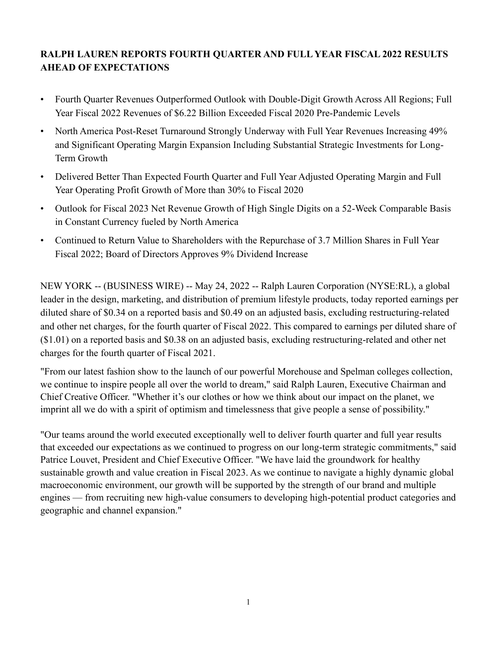# **RALPH LAUREN REPORTS FOURTH QUARTER AND FULL YEAR FISCAL 2022 RESULTS AHEAD OF EXPECTATIONS**

- Fourth Quarter Revenues Outperformed Outlook with Double-Digit Growth Across All Regions; Full Year Fiscal 2022 Revenues of \$6.22 Billion Exceeded Fiscal 2020 Pre-Pandemic Levels
- North America Post-Reset Turnaround Strongly Underway with Full Year Revenues Increasing 49% and Significant Operating Margin Expansion Including Substantial Strategic Investments for Long-Term Growth
- Delivered Better Than Expected Fourth Quarter and Full Year Adjusted Operating Margin and Full Year Operating Profit Growth of More than 30% to Fiscal 2020
- Outlook for Fiscal 2023 Net Revenue Growth of High Single Digits on a 52-Week Comparable Basis in Constant Currency fueled by North America
- Continued to Return Value to Shareholders with the Repurchase of 3.7 Million Shares in Full Year Fiscal 2022; Board of Directors Approves 9% Dividend Increase

NEW YORK -- (BUSINESS WIRE) -- May 24, 2022 -- Ralph Lauren Corporation (NYSE:RL), a global leader in the design, marketing, and distribution of premium lifestyle products, today reported earnings per diluted share of \$0.34 on a reported basis and \$0.49 on an adjusted basis, excluding restructuring-related and other net charges, for the fourth quarter of Fiscal 2022. This compared to earnings per diluted share of (\$1.01) on a reported basis and \$0.38 on an adjusted basis, excluding restructuring-related and other net charges for the fourth quarter of Fiscal 2021.

"From our latest fashion show to the launch of our powerful Morehouse and Spelman colleges collection, we continue to inspire people all over the world to dream," said Ralph Lauren, Executive Chairman and Chief Creative Officer. "Whether it's our clothes or how we think about our impact on the planet, we imprint all we do with a spirit of optimism and timelessness that give people a sense of possibility."

"Our teams around the world executed exceptionally well to deliver fourth quarter and full year results that exceeded our expectations as we continued to progress on our long-term strategic commitments," said Patrice Louvet, President and Chief Executive Officer. "We have laid the groundwork for healthy sustainable growth and value creation in Fiscal 2023. As we continue to navigate a highly dynamic global macroeconomic environment, our growth will be supported by the strength of our brand and multiple engines — from recruiting new high-value consumers to developing high-potential product categories and geographic and channel expansion."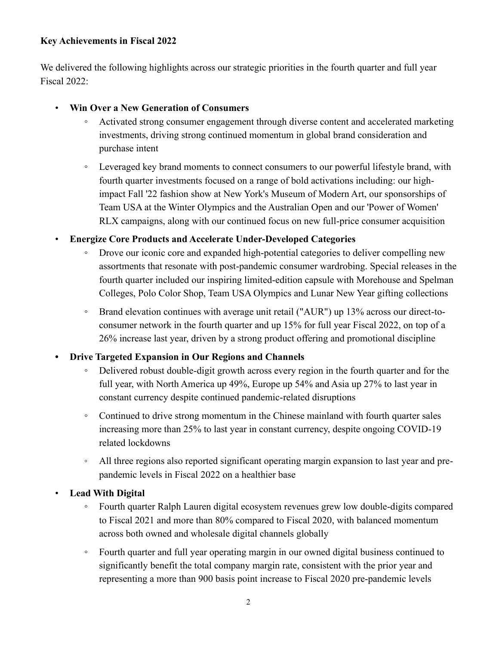# **Key Achievements in Fiscal 2022**

We delivered the following highlights across our strategic priorities in the fourth quarter and full year Fiscal 2022:

- **Win Over a New Generation of Consumers**
	- Activated strong consumer engagement through diverse content and accelerated marketing investments, driving strong continued momentum in global brand consideration and purchase intent
	- Leveraged key brand moments to connect consumers to our powerful lifestyle brand, with fourth quarter investments focused on a range of bold activations including: our highimpact Fall '22 fashion show at New York's Museum of Modern Art, our sponsorships of Team USA at the Winter Olympics and the Australian Open and our 'Power of Women' RLX campaigns, along with our continued focus on new full-price consumer acquisition
- **Energize Core Products and Accelerate Under-Developed Categories**
	- Drove our iconic core and expanded high-potential categories to deliver compelling new assortments that resonate with post-pandemic consumer wardrobing. Special releases in the fourth quarter included our inspiring limited-edition capsule with Morehouse and Spelman Colleges, Polo Color Shop, Team USA Olympics and Lunar New Year gifting collections
	- Brand elevation continues with average unit retail ("AUR") up 13% across our direct-toconsumer network in the fourth quarter and up 15% for full year Fiscal 2022, on top of a 26% increase last year, driven by a strong product offering and promotional discipline
- **• Drive Targeted Expansion in Our Regions and Channels** 
	- Delivered robust double-digit growth across every region in the fourth quarter and for the full year, with North America up 49%, Europe up 54% and Asia up 27% to last year in constant currency despite continued pandemic-related disruptions
	- Continued to drive strong momentum in the Chinese mainland with fourth quarter sales increasing more than 25% to last year in constant currency, despite ongoing COVID-19 related lockdowns
	- All three regions also reported significant operating margin expansion to last year and prepandemic levels in Fiscal 2022 on a healthier base
- **Lead With Digital**
	- Fourth quarter Ralph Lauren digital ecosystem revenues grew low double-digits compared to Fiscal 2021 and more than 80% compared to Fiscal 2020, with balanced momentum across both owned and wholesale digital channels globally
	- Fourth quarter and full year operating margin in our owned digital business continued to significantly benefit the total company margin rate, consistent with the prior year and representing a more than 900 basis point increase to Fiscal 2020 pre-pandemic levels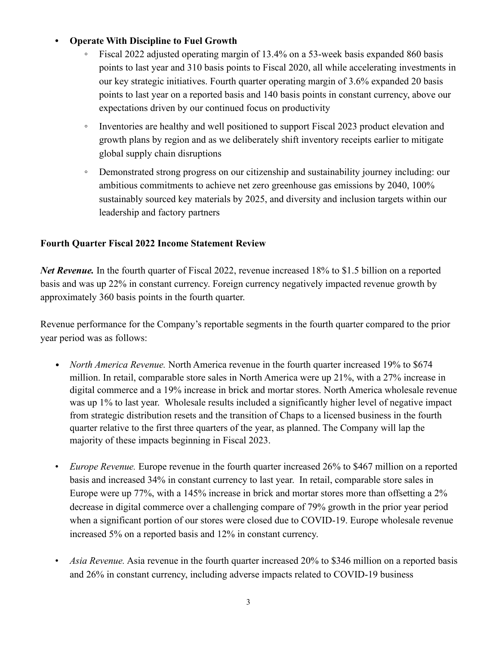# **• Operate With Discipline to Fuel Growth**

- Fiscal 2022 adjusted operating margin of 13.4% on a 53-week basis expanded 860 basis points to last year and 310 basis points to Fiscal 2020, all while accelerating investments in our key strategic initiatives. Fourth quarter operating margin of 3.6% expanded 20 basis points to last year on a reported basis and 140 basis points in constant currency, above our expectations driven by our continued focus on productivity
- Inventories are healthy and well positioned to support Fiscal 2023 product elevation and growth plans by region and as we deliberately shift inventory receipts earlier to mitigate global supply chain disruptions
- Demonstrated strong progress on our citizenship and sustainability journey including: our ambitious commitments to achieve net zero greenhouse gas emissions by 2040, 100% sustainably sourced key materials by 2025, and diversity and inclusion targets within our leadership and factory partners

# **Fourth Quarter Fiscal 2022 Income Statement Review**

*Net Revenue.* In the fourth quarter of Fiscal 2022, revenue increased 18% to \$1.5 billion on a reported basis and was up 22% in constant currency. Foreign currency negatively impacted revenue growth by approximately 360 basis points in the fourth quarter.

Revenue performance for the Company's reportable segments in the fourth quarter compared to the prior year period was as follows:

- *North America Revenue.* North America revenue in the fourth quarter increased 19% to \$674 million. In retail, comparable store sales in North America were up 21%, with a 27% increase in digital commerce and a 19% increase in brick and mortar stores. North America wholesale revenue was up 1% to last year. Wholesale results included a significantly higher level of negative impact from strategic distribution resets and the transition of Chaps to a licensed business in the fourth quarter relative to the first three quarters of the year, as planned. The Company will lap the majority of these impacts beginning in Fiscal 2023.
- *Europe Revenue.* Europe revenue in the fourth quarter increased 26% to \$467 million on a reported basis and increased 34% in constant currency to last year. In retail, comparable store sales in Europe were up 77%, with a 145% increase in brick and mortar stores more than offsetting a 2% decrease in digital commerce over a challenging compare of 79% growth in the prior year period when a significant portion of our stores were closed due to COVID-19. Europe wholesale revenue increased 5% on a reported basis and 12% in constant currency.
- *Asia Revenue.* Asia revenue in the fourth quarter increased 20% to \$346 million on a reported basis and 26% in constant currency, including adverse impacts related to COVID-19 business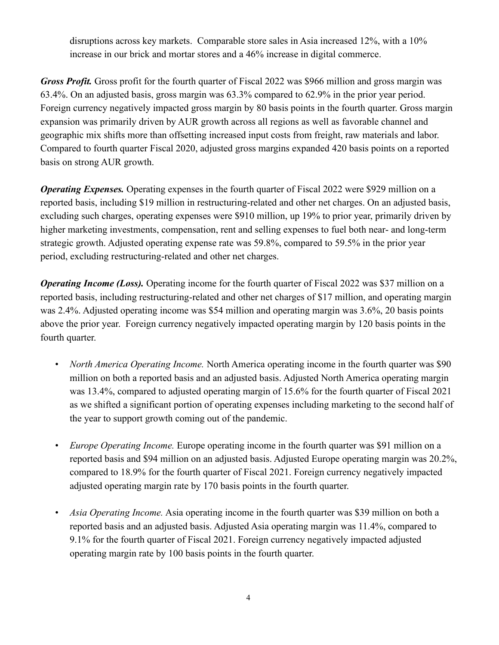disruptions across key markets. Comparable store sales in Asia increased 12%, with a 10% increase in our brick and mortar stores and a 46% increase in digital commerce.

*Gross Profit.* Gross profit for the fourth quarter of Fiscal 2022 was \$966 million and gross margin was 63.4%. On an adjusted basis, gross margin was 63.3% compared to 62.9% in the prior year period. Foreign currency negatively impacted gross margin by 80 basis points in the fourth quarter. Gross margin expansion was primarily driven by AUR growth across all regions as well as favorable channel and geographic mix shifts more than offsetting increased input costs from freight, raw materials and labor. Compared to fourth quarter Fiscal 2020, adjusted gross margins expanded 420 basis points on a reported basis on strong AUR growth.

*Operating Expenses.* Operating expenses in the fourth quarter of Fiscal 2022 were \$929 million on a reported basis, including \$19 million in restructuring-related and other net charges. On an adjusted basis, excluding such charges, operating expenses were \$910 million, up 19% to prior year, primarily driven by higher marketing investments, compensation, rent and selling expenses to fuel both near- and long-term strategic growth. Adjusted operating expense rate was 59.8%, compared to 59.5% in the prior year period, excluding restructuring-related and other net charges.

*Operating Income (Loss).* Operating income for the fourth quarter of Fiscal 2022 was \$37 million on a reported basis, including restructuring-related and other net charges of \$17 million, and operating margin was 2.4%. Adjusted operating income was \$54 million and operating margin was 3.6%, 20 basis points above the prior year. Foreign currency negatively impacted operating margin by 120 basis points in the fourth quarter.

- *North America Operating Income.* North America operating income in the fourth quarter was \$90 million on both a reported basis and an adjusted basis. Adjusted North America operating margin was 13.4%, compared to adjusted operating margin of 15.6% for the fourth quarter of Fiscal 2021 as we shifted a significant portion of operating expenses including marketing to the second half of the year to support growth coming out of the pandemic.
- *Europe Operating Income.* Europe operating income in the fourth quarter was \$91 million on a reported basis and \$94 million on an adjusted basis. Adjusted Europe operating margin was 20.2%, compared to 18.9% for the fourth quarter of Fiscal 2021. Foreign currency negatively impacted adjusted operating margin rate by 170 basis points in the fourth quarter.
- *Asia Operating Income.* Asia operating income in the fourth quarter was \$39 million on both a reported basis and an adjusted basis. Adjusted Asia operating margin was 11.4%, compared to 9.1% for the fourth quarter of Fiscal 2021. Foreign currency negatively impacted adjusted operating margin rate by 100 basis points in the fourth quarter.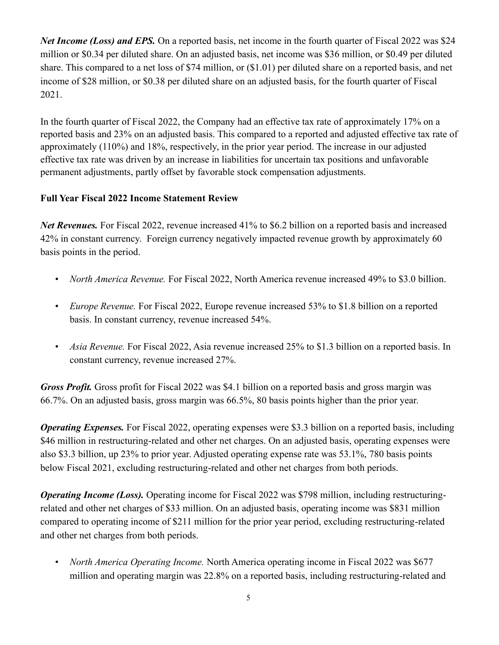*Net Income (Loss) and EPS.* On a reported basis, net income in the fourth quarter of Fiscal 2022 was \$24 million or \$0.34 per diluted share. On an adjusted basis, net income was \$36 million, or \$0.49 per diluted share. This compared to a net loss of \$74 million, or (\$1.01) per diluted share on a reported basis, and net income of \$28 million, or \$0.38 per diluted share on an adjusted basis, for the fourth quarter of Fiscal 2021.

In the fourth quarter of Fiscal 2022, the Company had an effective tax rate of approximately 17% on a reported basis and 23% on an adjusted basis. This compared to a reported and adjusted effective tax rate of approximately (110%) and 18%, respectively, in the prior year period. The increase in our adjusted effective tax rate was driven by an increase in liabilities for uncertain tax positions and unfavorable permanent adjustments, partly offset by favorable stock compensation adjustments.

# **Full Year Fiscal 2022 Income Statement Review**

*Net Revenues.* For Fiscal 2022, revenue increased 41% to \$6.2 billion on a reported basis and increased 42% in constant currency. Foreign currency negatively impacted revenue growth by approximately 60 basis points in the period.

- *North America Revenue.* For Fiscal 2022, North America revenue increased 49% to \$3.0 billion.
- *Europe Revenue.* For Fiscal 2022, Europe revenue increased 53% to \$1.8 billion on a reported basis. In constant currency, revenue increased 54%.
- *Asia Revenue.* For Fiscal 2022, Asia revenue increased 25% to \$1.3 billion on a reported basis. In constant currency, revenue increased 27%.

*Gross Profit.* Gross profit for Fiscal 2022 was \$4.1 billion on a reported basis and gross margin was 66.7%. On an adjusted basis, gross margin was 66.5%, 80 basis points higher than the prior year.

*Operating Expenses.* For Fiscal 2022, operating expenses were \$3.3 billion on a reported basis, including \$46 million in restructuring-related and other net charges. On an adjusted basis, operating expenses were also \$3.3 billion, up 23% to prior year. Adjusted operating expense rate was 53.1%, 780 basis points below Fiscal 2021, excluding restructuring-related and other net charges from both periods.

*Operating Income (Loss).* Operating income for Fiscal 2022 was \$798 million, including restructuringrelated and other net charges of \$33 million. On an adjusted basis, operating income was \$831 million compared to operating income of \$211 million for the prior year period, excluding restructuring-related and other net charges from both periods.

• *North America Operating Income.* North America operating income in Fiscal 2022 was \$677 million and operating margin was 22.8% on a reported basis, including restructuring-related and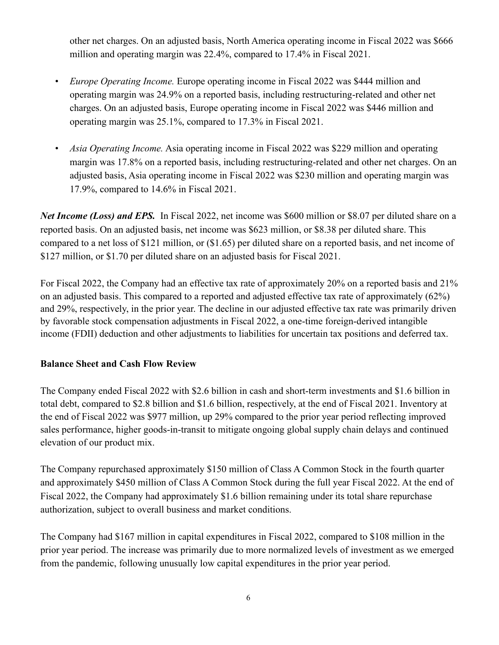other net charges. On an adjusted basis, North America operating income in Fiscal 2022 was \$666 million and operating margin was 22.4%, compared to 17.4% in Fiscal 2021.

- *Europe Operating Income.* Europe operating income in Fiscal 2022 was \$444 million and operating margin was 24.9% on a reported basis, including restructuring-related and other net charges. On an adjusted basis, Europe operating income in Fiscal 2022 was \$446 million and operating margin was 25.1%, compared to 17.3% in Fiscal 2021.
- *Asia Operating Income.* Asia operating income in Fiscal 2022 was \$229 million and operating margin was 17.8% on a reported basis, including restructuring-related and other net charges. On an adjusted basis, Asia operating income in Fiscal 2022 was \$230 million and operating margin was 17.9%, compared to 14.6% in Fiscal 2021.

*Net Income (Loss) and EPS.* In Fiscal 2022, net income was \$600 million or \$8.07 per diluted share on a reported basis. On an adjusted basis, net income was \$623 million, or \$8.38 per diluted share. This compared to a net loss of \$121 million, or (\$1.65) per diluted share on a reported basis, and net income of \$127 million, or \$1.70 per diluted share on an adjusted basis for Fiscal 2021.

For Fiscal 2022, the Company had an effective tax rate of approximately 20% on a reported basis and 21% on an adjusted basis. This compared to a reported and adjusted effective tax rate of approximately (62%) and 29%, respectively, in the prior year. The decline in our adjusted effective tax rate was primarily driven by favorable stock compensation adjustments in Fiscal 2022, a one-time foreign-derived intangible income (FDII) deduction and other adjustments to liabilities for uncertain tax positions and deferred tax.

## **Balance Sheet and Cash Flow Review**

The Company ended Fiscal 2022 with \$2.6 billion in cash and short-term investments and \$1.6 billion in total debt, compared to \$2.8 billion and \$1.6 billion, respectively, at the end of Fiscal 2021. Inventory at the end of Fiscal 2022 was \$977 million, up 29% compared to the prior year period reflecting improved sales performance, higher goods-in-transit to mitigate ongoing global supply chain delays and continued elevation of our product mix.

The Company repurchased approximately \$150 million of Class A Common Stock in the fourth quarter and approximately \$450 million of Class A Common Stock during the full year Fiscal 2022. At the end of Fiscal 2022, the Company had approximately \$1.6 billion remaining under its total share repurchase authorization, subject to overall business and market conditions.

The Company had \$167 million in capital expenditures in Fiscal 2022, compared to \$108 million in the prior year period. The increase was primarily due to more normalized levels of investment as we emerged from the pandemic, following unusually low capital expenditures in the prior year period.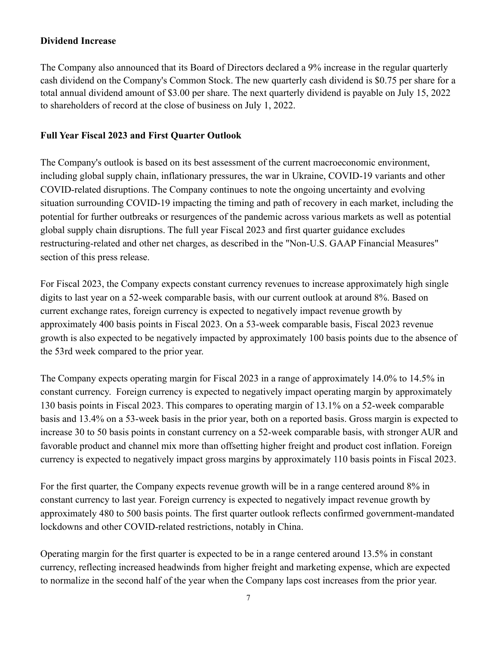#### **Dividend Increase**

The Company also announced that its Board of Directors declared a 9% increase in the regular quarterly cash dividend on the Company's Common Stock. The new quarterly cash dividend is \$0.75 per share for a total annual dividend amount of \$3.00 per share. The next quarterly dividend is payable on July 15, 2022 to shareholders of record at the close of business on July 1, 2022.

## **Full Year Fiscal 2023 and First Quarter Outlook**

The Company's outlook is based on its best assessment of the current macroeconomic environment, including global supply chain, inflationary pressures, the war in Ukraine, COVID-19 variants and other COVID-related disruptions. The Company continues to note the ongoing uncertainty and evolving situation surrounding COVID-19 impacting the timing and path of recovery in each market, including the potential for further outbreaks or resurgences of the pandemic across various markets as well as potential global supply chain disruptions. The full year Fiscal 2023 and first quarter guidance excludes restructuring-related and other net charges, as described in the "Non-U.S. GAAP Financial Measures" section of this press release.

For Fiscal 2023, the Company expects constant currency revenues to increase approximately high single digits to last year on a 52-week comparable basis, with our current outlook at around 8%. Based on current exchange rates, foreign currency is expected to negatively impact revenue growth by approximately 400 basis points in Fiscal 2023. On a 53-week comparable basis, Fiscal 2023 revenue growth is also expected to be negatively impacted by approximately 100 basis points due to the absence of the 53rd week compared to the prior year.

The Company expects operating margin for Fiscal 2023 in a range of approximately 14.0% to 14.5% in constant currency. Foreign currency is expected to negatively impact operating margin by approximately 130 basis points in Fiscal 2023. This compares to operating margin of 13.1% on a 52-week comparable basis and 13.4% on a 53-week basis in the prior year, both on a reported basis. Gross margin is expected to increase 30 to 50 basis points in constant currency on a 52-week comparable basis, with stronger AUR and favorable product and channel mix more than offsetting higher freight and product cost inflation. Foreign currency is expected to negatively impact gross margins by approximately 110 basis points in Fiscal 2023.

For the first quarter, the Company expects revenue growth will be in a range centered around 8% in constant currency to last year. Foreign currency is expected to negatively impact revenue growth by approximately 480 to 500 basis points. The first quarter outlook reflects confirmed government-mandated lockdowns and other COVID-related restrictions, notably in China.

Operating margin for the first quarter is expected to be in a range centered around 13.5% in constant currency, reflecting increased headwinds from higher freight and marketing expense, which are expected to normalize in the second half of the year when the Company laps cost increases from the prior year.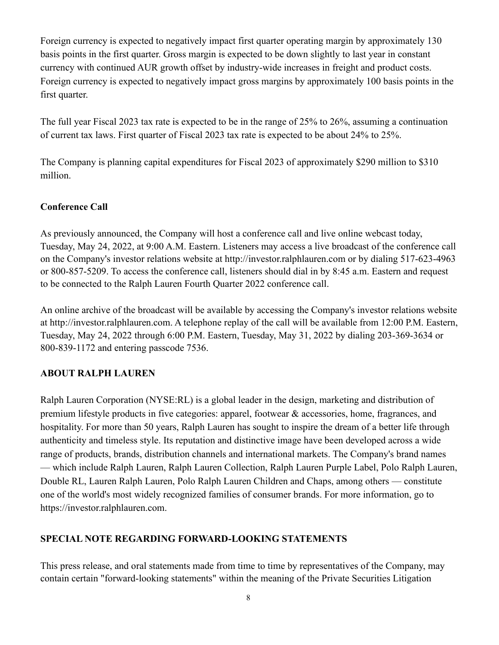Foreign currency is expected to negatively impact first quarter operating margin by approximately 130 basis points in the first quarter. Gross margin is expected to be down slightly to last year in constant currency with continued AUR growth offset by industry-wide increases in freight and product costs. Foreign currency is expected to negatively impact gross margins by approximately 100 basis points in the first quarter.

The full year Fiscal 2023 tax rate is expected to be in the range of 25% to 26%, assuming a continuation of current tax laws. First quarter of Fiscal 2023 tax rate is expected to be about 24% to 25%.

The Company is planning capital expenditures for Fiscal 2023 of approximately \$290 million to \$310 million.

## **Conference Call**

As previously announced, the Company will host a conference call and live online webcast today, Tuesday, May 24, 2022, at 9:00 A.M. Eastern. Listeners may access a live broadcast of the conference call on the Company's investor relations website at http://investor.ralphlauren.com or by dialing 517-623-4963 or 800-857-5209. To access the conference call, listeners should dial in by 8:45 a.m. Eastern and request to be connected to the Ralph Lauren Fourth Quarter 2022 conference call.

An online archive of the broadcast will be available by accessing the Company's investor relations website at http://investor.ralphlauren.com. A telephone replay of the call will be available from 12:00 P.M. Eastern, Tuesday, May 24, 2022 through 6:00 P.M. Eastern, Tuesday, May 31, 2022 by dialing 203-369-3634 or 800-839-1172 and entering passcode 7536.

# **ABOUT RALPH LAUREN**

Ralph Lauren Corporation (NYSE:RL) is a global leader in the design, marketing and distribution of premium lifestyle products in five categories: apparel, footwear & accessories, home, fragrances, and hospitality. For more than 50 years, Ralph Lauren has sought to inspire the dream of a better life through authenticity and timeless style. Its reputation and distinctive image have been developed across a wide range of products, brands, distribution channels and international markets. The Company's brand names — which include Ralph Lauren, Ralph Lauren Collection, Ralph Lauren Purple Label, Polo Ralph Lauren, Double RL, Lauren Ralph Lauren, Polo Ralph Lauren Children and Chaps, among others — constitute one of the world's most widely recognized families of consumer brands. For more information, go to https://investor.ralphlauren.com.

## **SPECIAL NOTE REGARDING FORWARD-LOOKING STATEMENTS**

This press release, and oral statements made from time to time by representatives of the Company, may contain certain "forward-looking statements" within the meaning of the Private Securities Litigation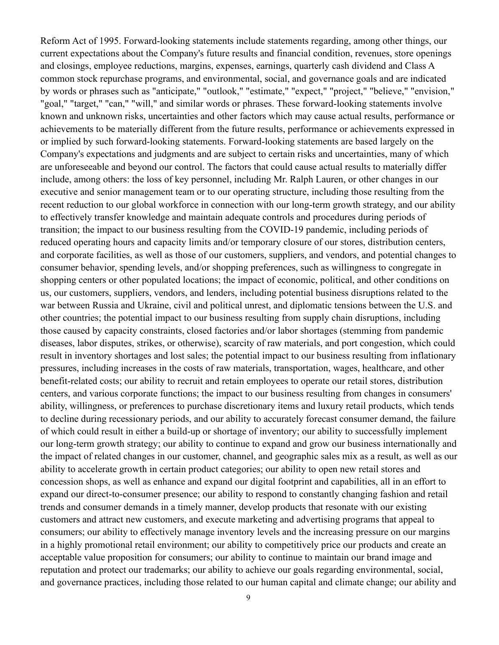Reform Act of 1995. Forward-looking statements include statements regarding, among other things, our current expectations about the Company's future results and financial condition, revenues, store openings and closings, employee reductions, margins, expenses, earnings, quarterly cash dividend and Class A common stock repurchase programs, and environmental, social, and governance goals and are indicated by words or phrases such as "anticipate," "outlook," "estimate," "expect," "project," "believe," "envision," "goal," "target," "can," "will," and similar words or phrases. These forward-looking statements involve known and unknown risks, uncertainties and other factors which may cause actual results, performance or achievements to be materially different from the future results, performance or achievements expressed in or implied by such forward-looking statements. Forward-looking statements are based largely on the Company's expectations and judgments and are subject to certain risks and uncertainties, many of which are unforeseeable and beyond our control. The factors that could cause actual results to materially differ include, among others: the loss of key personnel, including Mr. Ralph Lauren, or other changes in our executive and senior management team or to our operating structure, including those resulting from the recent reduction to our global workforce in connection with our long-term growth strategy, and our ability to effectively transfer knowledge and maintain adequate controls and procedures during periods of transition; the impact to our business resulting from the COVID-19 pandemic, including periods of reduced operating hours and capacity limits and/or temporary closure of our stores, distribution centers, and corporate facilities, as well as those of our customers, suppliers, and vendors, and potential changes to consumer behavior, spending levels, and/or shopping preferences, such as willingness to congregate in shopping centers or other populated locations; the impact of economic, political, and other conditions on us, our customers, suppliers, vendors, and lenders, including potential business disruptions related to the war between Russia and Ukraine, civil and political unrest, and diplomatic tensions between the U.S. and other countries; the potential impact to our business resulting from supply chain disruptions, including those caused by capacity constraints, closed factories and/or labor shortages (stemming from pandemic diseases, labor disputes, strikes, or otherwise), scarcity of raw materials, and port congestion, which could result in inventory shortages and lost sales; the potential impact to our business resulting from inflationary pressures, including increases in the costs of raw materials, transportation, wages, healthcare, and other benefit-related costs; our ability to recruit and retain employees to operate our retail stores, distribution centers, and various corporate functions; the impact to our business resulting from changes in consumers' ability, willingness, or preferences to purchase discretionary items and luxury retail products, which tends to decline during recessionary periods, and our ability to accurately forecast consumer demand, the failure of which could result in either a build-up or shortage of inventory; our ability to successfully implement our long-term growth strategy; our ability to continue to expand and grow our business internationally and the impact of related changes in our customer, channel, and geographic sales mix as a result, as well as our ability to accelerate growth in certain product categories; our ability to open new retail stores and concession shops, as well as enhance and expand our digital footprint and capabilities, all in an effort to expand our direct-to-consumer presence; our ability to respond to constantly changing fashion and retail trends and consumer demands in a timely manner, develop products that resonate with our existing customers and attract new customers, and execute marketing and advertising programs that appeal to consumers; our ability to effectively manage inventory levels and the increasing pressure on our margins in a highly promotional retail environment; our ability to competitively price our products and create an acceptable value proposition for consumers; our ability to continue to maintain our brand image and reputation and protect our trademarks; our ability to achieve our goals regarding environmental, social, and governance practices, including those related to our human capital and climate change; our ability and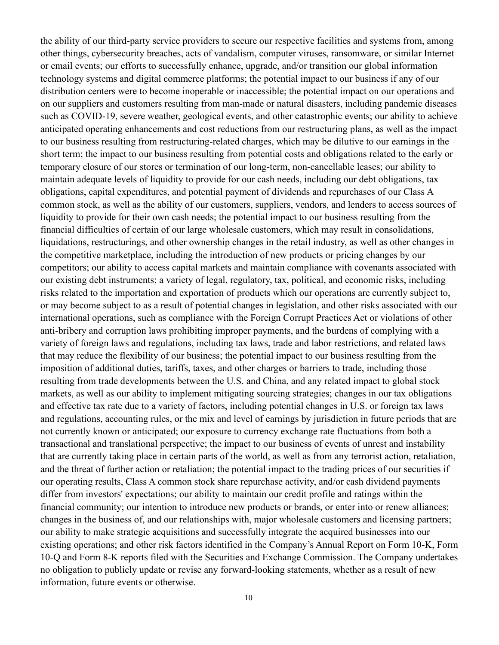the ability of our third-party service providers to secure our respective facilities and systems from, among other things, cybersecurity breaches, acts of vandalism, computer viruses, ransomware, or similar Internet or email events; our efforts to successfully enhance, upgrade, and/or transition our global information technology systems and digital commerce platforms; the potential impact to our business if any of our distribution centers were to become inoperable or inaccessible; the potential impact on our operations and on our suppliers and customers resulting from man-made or natural disasters, including pandemic diseases such as COVID-19, severe weather, geological events, and other catastrophic events; our ability to achieve anticipated operating enhancements and cost reductions from our restructuring plans, as well as the impact to our business resulting from restructuring-related charges, which may be dilutive to our earnings in the short term; the impact to our business resulting from potential costs and obligations related to the early or temporary closure of our stores or termination of our long-term, non-cancellable leases; our ability to maintain adequate levels of liquidity to provide for our cash needs, including our debt obligations, tax obligations, capital expenditures, and potential payment of dividends and repurchases of our Class A common stock, as well as the ability of our customers, suppliers, vendors, and lenders to access sources of liquidity to provide for their own cash needs; the potential impact to our business resulting from the financial difficulties of certain of our large wholesale customers, which may result in consolidations, liquidations, restructurings, and other ownership changes in the retail industry, as well as other changes in the competitive marketplace, including the introduction of new products or pricing changes by our competitors; our ability to access capital markets and maintain compliance with covenants associated with our existing debt instruments; a variety of legal, regulatory, tax, political, and economic risks, including risks related to the importation and exportation of products which our operations are currently subject to, or may become subject to as a result of potential changes in legislation, and other risks associated with our international operations, such as compliance with the Foreign Corrupt Practices Act or violations of other anti-bribery and corruption laws prohibiting improper payments, and the burdens of complying with a variety of foreign laws and regulations, including tax laws, trade and labor restrictions, and related laws that may reduce the flexibility of our business; the potential impact to our business resulting from the imposition of additional duties, tariffs, taxes, and other charges or barriers to trade, including those resulting from trade developments between the U.S. and China, and any related impact to global stock markets, as well as our ability to implement mitigating sourcing strategies; changes in our tax obligations and effective tax rate due to a variety of factors, including potential changes in U.S. or foreign tax laws and regulations, accounting rules, or the mix and level of earnings by jurisdiction in future periods that are not currently known or anticipated; our exposure to currency exchange rate fluctuations from both a transactional and translational perspective; the impact to our business of events of unrest and instability that are currently taking place in certain parts of the world, as well as from any terrorist action, retaliation, and the threat of further action or retaliation; the potential impact to the trading prices of our securities if our operating results, Class A common stock share repurchase activity, and/or cash dividend payments differ from investors' expectations; our ability to maintain our credit profile and ratings within the financial community; our intention to introduce new products or brands, or enter into or renew alliances; changes in the business of, and our relationships with, major wholesale customers and licensing partners; our ability to make strategic acquisitions and successfully integrate the acquired businesses into our existing operations; and other risk factors identified in the Company's Annual Report on Form 10-K, Form 10-Q and Form 8-K reports filed with the Securities and Exchange Commission. The Company undertakes no obligation to publicly update or revise any forward-looking statements, whether as a result of new information, future events or otherwise.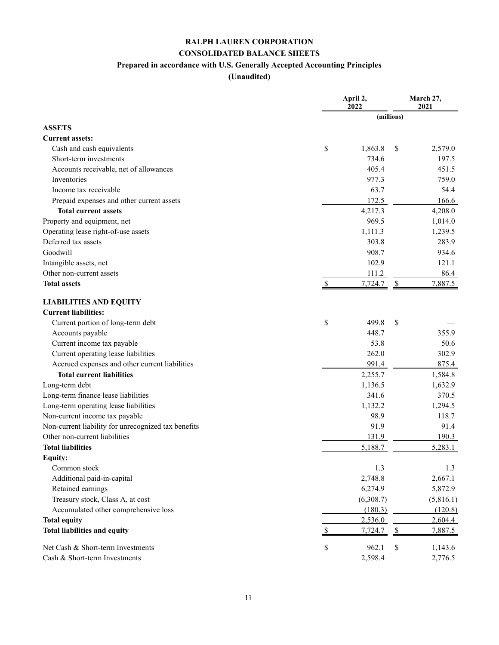## **RALPH LAUREN CORPORATION CONSOLIDATED BALANCE SHEETS Prepared in accordance with U.S. Generally Accepted Accounting Principles**

**(Unaudited)**

|                                                     |               | April 2,<br>2022 |                      |           |
|-----------------------------------------------------|---------------|------------------|----------------------|-----------|
|                                                     |               | (millions)       |                      |           |
| <b>ASSETS</b>                                       |               |                  |                      |           |
| <b>Current assets:</b>                              |               |                  |                      |           |
| Cash and cash equivalents                           | \$            | 1,863.8          | \$                   | 2,579.0   |
| Short-term investments                              |               | 734.6            |                      | 197.5     |
| Accounts receivable, net of allowances              |               | 405.4            |                      | 451.5     |
| Inventories                                         |               | 977.3            |                      | 759.0     |
| Income tax receivable                               |               | 63.7             |                      | 54.4      |
| Prepaid expenses and other current assets           |               | 172.5            |                      | 166.6     |
| <b>Total current assets</b>                         |               | 4,217.3          |                      | 4,208.0   |
| Property and equipment, net                         |               | 969.5            |                      | 1,014.0   |
| Operating lease right-of-use assets                 |               | 1,111.3          |                      | 1,239.5   |
| Deferred tax assets                                 |               | 303.8            |                      | 283.9     |
| Goodwill                                            |               | 908.7            |                      | 934.6     |
| Intangible assets, net                              |               | 102.9            |                      | 121.1     |
| Other non-current assets                            |               | 111.2            |                      | 86.4      |
| <b>Total assets</b>                                 | <sup>\$</sup> | 7,724.7          | \$                   | 7,887.5   |
| <b>LIABILITIES AND EQUITY</b>                       |               |                  |                      |           |
| <b>Current liabilities:</b>                         |               |                  |                      |           |
| Current portion of long-term debt                   | \$            | 499.8            | \$                   |           |
| Accounts payable                                    |               | 448.7            |                      | 355.9     |
| Current income tax payable                          |               | 53.8             |                      | 50.6      |
| Current operating lease liabilities                 |               | 262.0            |                      | 302.9     |
| Accrued expenses and other current liabilities      |               | 991.4            |                      | 875.4     |
| <b>Total current liabilities</b>                    |               | 2,255.7          |                      | 1,584.8   |
| Long-term debt                                      |               | 1,136.5          |                      | 1,632.9   |
| Long-term finance lease liabilities                 |               | 341.6            |                      | 370.5     |
| Long-term operating lease liabilities               |               | 1,132.2          |                      | 1,294.5   |
| Non-current income tax payable                      |               | 98.9             |                      | 118.7     |
| Non-current liability for unrecognized tax benefits |               | 91.9             |                      | 91.4      |
| Other non-current liabilities                       |               | 131.9            |                      | 190.3     |
| <b>Total liabilities</b>                            |               | 5,188.7          |                      | 5,283.1   |
| Equity:                                             |               |                  |                      |           |
| Common stock                                        |               | 1.3              |                      | 1.3       |
| Additional paid-in-capital                          |               | 2,748.8          |                      | 2,667.1   |
| Retained earnings                                   |               | 6,274.9          |                      | 5,872.9   |
| Treasury stock, Class A, at cost                    |               | (6,308.7)        |                      | (5,816.1) |
| Accumulated other comprehensive loss                |               | (180.3)          |                      | (120.8)   |
| <b>Total equity</b>                                 |               | 2,536.0          |                      | 2,604.4   |
| <b>Total liabilities and equity</b>                 |               | 7,724.7          | $\sqrt{\frac{2}{2}}$ | 7,887.5   |
| Net Cash & Short-term Investments                   | \$            | 962.1            | \$                   | 1,143.6   |
| Cash & Short-term Investments                       |               | 2,598.4          |                      | 2,776.5   |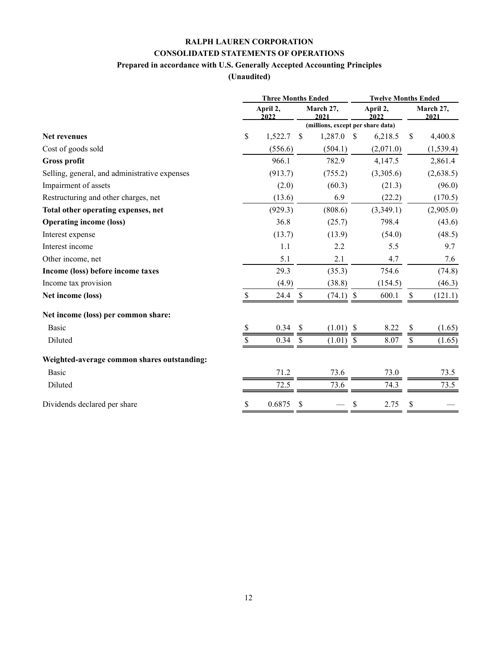# **RALPH LAUREN CORPORATION CONSOLIDATED STATEMENTS OF OPERATIONS**

## **Prepared in accordance with U.S. Generally Accepted Accounting Principles**

#### **(Unaudited)**

|                                               | <b>Three Months Ended</b> |         |               |                                   | <b>Twelve Months Ended</b> |                  |    |                   |
|-----------------------------------------------|---------------------------|---------|---------------|-----------------------------------|----------------------------|------------------|----|-------------------|
|                                               | April 2,<br>2022          |         |               | March 27,<br>2021                 |                            | April 2,<br>2022 |    | March 27,<br>2021 |
|                                               |                           |         |               | (millions, except per share data) |                            |                  |    |                   |
| <b>Net revenues</b>                           | \$                        | 1,522.7 | <sup>\$</sup> | 1,287.0                           | <sup>\$</sup>              | 6,218.5          | \$ | 4,400.8           |
| Cost of goods sold                            |                           | (556.6) |               | (504.1)                           |                            | (2,071.0)        |    | (1,539.4)         |
| <b>Gross profit</b>                           |                           | 966.1   |               | 782.9                             |                            | 4,147.5          |    | 2,861.4           |
| Selling, general, and administrative expenses |                           | (913.7) |               | (755.2)                           |                            | (3,305.6)        |    | (2,638.5)         |
| Impairment of assets                          |                           | (2.0)   |               | (60.3)                            |                            | (21.3)           |    | (96.0)            |
| Restructuring and other charges, net          |                           | (13.6)  |               | 6.9                               |                            | (22.2)           |    | (170.5)           |
| Total other operating expenses, net           |                           | (929.3) |               | (808.6)                           |                            | (3,349.1)        |    | (2,905.0)         |
| <b>Operating income (loss)</b>                |                           | 36.8    |               | (25.7)                            |                            | 798.4            |    | (43.6)            |
| Interest expense                              |                           | (13.7)  |               | (13.9)                            |                            | (54.0)           |    | (48.5)            |
| Interest income                               |                           | 1.1     |               | 2.2                               |                            | 5.5              |    | 9.7               |
| Other income, net                             |                           | 5.1     |               | 2.1                               |                            | 4.7              |    | 7.6               |
| Income (loss) before income taxes             |                           | 29.3    |               | (35.3)                            |                            | 754.6            |    | (74.8)            |
| Income tax provision                          |                           | (4.9)   |               | (38.8)                            |                            | (154.5)          |    | (46.3)            |
| Net income (loss)                             |                           | 24.4    | S             | $(74.1)$ \$                       |                            | 600.1            | \$ | (121.1)           |
| Net income (loss) per common share:           |                           |         |               |                                   |                            |                  |    |                   |
| Basic                                         | S                         | 0.34    | \$            | $(1.01)$ \$                       |                            | 8.22             | \$ | (1.65)            |
| Diluted                                       |                           | 0.34    | <sup>\$</sup> | $(1.01)$ \$                       |                            | 8.07             | \$ | (1.65)            |
| Weighted-average common shares outstanding:   |                           |         |               |                                   |                            |                  |    |                   |
| Basic                                         |                           | 71.2    |               | 73.6                              |                            | 73.0             |    | 73.5              |
| Diluted                                       |                           | 72.5    |               | 73.6                              |                            | 74.3             |    | 73.5              |
| Dividends declared per share                  | \$                        | 0.6875  | \$            |                                   | \$                         | 2.75             | \$ |                   |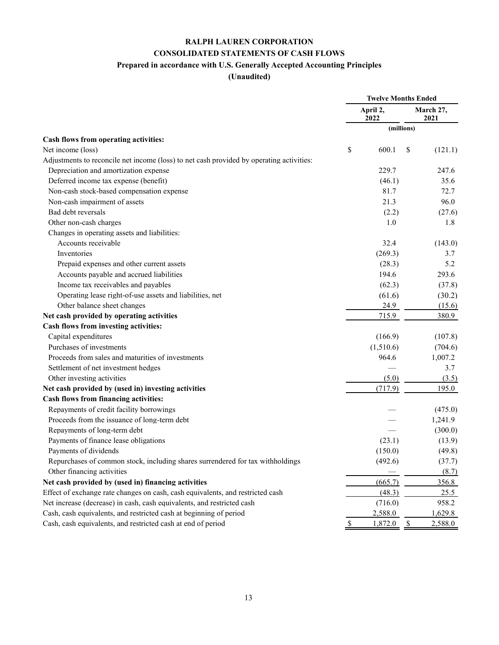# **RALPH LAUREN CORPORATION CONSOLIDATED STATEMENTS OF CASH FLOWS**

# **Prepared in accordance with U.S. Generally Accepted Accounting Principles**

#### **(Unaudited)**

|                                                                                          | <b>Twelve Months Ended</b> |                  |                   |         |
|------------------------------------------------------------------------------------------|----------------------------|------------------|-------------------|---------|
|                                                                                          |                            | April 2,<br>2022 | March 27,<br>2021 |         |
|                                                                                          |                            |                  | (millions)        |         |
| Cash flows from operating activities:                                                    |                            |                  |                   |         |
| Net income (loss)                                                                        | \$                         | 600.1            | \$                | (121.1) |
| Adjustments to reconcile net income (loss) to net cash provided by operating activities: |                            |                  |                   |         |
| Depreciation and amortization expense                                                    |                            | 229.7            |                   | 247.6   |
| Deferred income tax expense (benefit)                                                    |                            | (46.1)           |                   | 35.6    |
| Non-cash stock-based compensation expense                                                |                            | 81.7             |                   | 72.7    |
| Non-cash impairment of assets                                                            |                            | 21.3             |                   | 96.0    |
| Bad debt reversals                                                                       |                            | (2.2)            |                   | (27.6)  |
| Other non-cash charges                                                                   |                            | 1.0              |                   | 1.8     |
| Changes in operating assets and liabilities:                                             |                            |                  |                   |         |
| Accounts receivable                                                                      |                            | 32.4             |                   | (143.0) |
| Inventories                                                                              |                            | (269.3)          |                   | 3.7     |
| Prepaid expenses and other current assets                                                |                            | (28.3)           |                   | 5.2     |
| Accounts payable and accrued liabilities                                                 |                            | 194.6            |                   | 293.6   |
| Income tax receivables and payables                                                      |                            | (62.3)           |                   | (37.8)  |
| Operating lease right-of-use assets and liabilities, net                                 |                            | (61.6)           |                   | (30.2)  |
| Other balance sheet changes                                                              |                            | 24.9             |                   | (15.6)  |
| Net cash provided by operating activities                                                |                            | 715.9            |                   | 380.9   |
| Cash flows from investing activities:                                                    |                            |                  |                   |         |
| Capital expenditures                                                                     |                            | (166.9)          |                   | (107.8) |
| Purchases of investments                                                                 |                            | (1,510.6)        |                   | (704.6) |
| Proceeds from sales and maturities of investments                                        |                            | 964.6            |                   | 1,007.2 |
| Settlement of net investment hedges                                                      |                            |                  |                   | 3.7     |
| Other investing activities                                                               |                            | (5.0)            |                   | (3.5)   |
| Net cash provided by (used in) investing activities                                      |                            | (717.9)          |                   | 195.0   |
| Cash flows from financing activities:                                                    |                            |                  |                   |         |
| Repayments of credit facility borrowings                                                 |                            |                  |                   | (475.0) |
| Proceeds from the issuance of long-term debt                                             |                            |                  |                   | 1,241.9 |
| Repayments of long-term debt                                                             |                            |                  |                   | (300.0) |
| Payments of finance lease obligations                                                    |                            | (23.1)           |                   | (13.9)  |
| Payments of dividends                                                                    |                            | (150.0)          |                   | (49.8)  |
| Repurchases of common stock, including shares surrendered for tax withholdings           |                            | (492.6)          |                   | (37.7)  |
| Other financing activities                                                               |                            |                  |                   | (8.7)   |
| Net cash provided by (used in) financing activities                                      |                            | (665.7)          |                   | 356.8   |
| Effect of exchange rate changes on cash, cash equivalents, and restricted cash           |                            | (48.3)           |                   | 25.5    |
| Net increase (decrease) in cash, cash equivalents, and restricted cash                   |                            | (716.0)          |                   | 958.2   |
| Cash, cash equivalents, and restricted cash at beginning of period                       |                            | 2,588.0          |                   | 1,629.8 |
| Cash, cash equivalents, and restricted cash at end of period                             | $\mathbb{S}$               | 1,872.0          | $\mathcal{S}$     | 2,588.0 |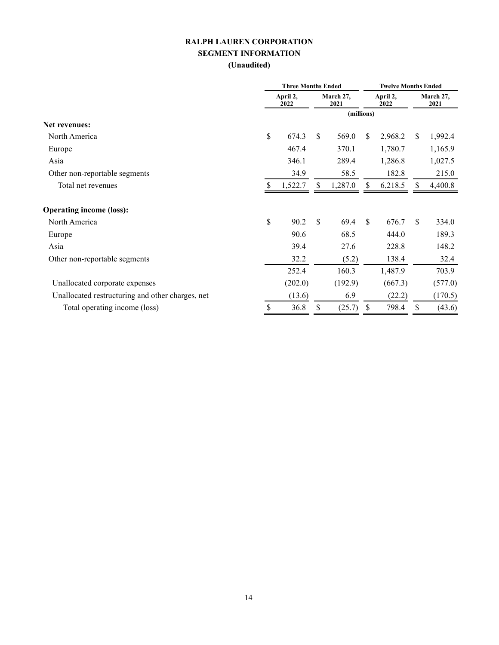#### **RALPH LAUREN CORPORATION SEGMENT INFORMATION (Unaudited)**

|                                                  | <b>Three Months Ended</b> |         |    |                   | <b>Twelve Months Ended</b> |         |                   |         |
|--------------------------------------------------|---------------------------|---------|----|-------------------|----------------------------|---------|-------------------|---------|
|                                                  | April 2,<br>2022          |         |    | March 27,<br>2021 | April 2,<br>2022           |         | March 27,<br>2021 |         |
|                                                  |                           |         |    |                   | (millions)                 |         |                   |         |
| <b>Net revenues:</b>                             |                           |         |    |                   |                            |         |                   |         |
| North America                                    | \$                        | 674.3   | \$ | 569.0             | \$                         | 2,968.2 | \$                | 1,992.4 |
| Europe                                           |                           | 467.4   |    | 370.1             |                            | 1,780.7 |                   | 1,165.9 |
| Asia                                             |                           | 346.1   |    | 289.4             |                            | 1,286.8 |                   | 1,027.5 |
| Other non-reportable segments                    |                           | 34.9    |    | 58.5              |                            | 182.8   |                   | 215.0   |
| Total net revenues                               | \$.                       | 1,522.7 | \$ | 1,287.0           | \$                         | 6,218.5 | \$                | 4,400.8 |
| <b>Operating income (loss):</b>                  |                           |         |    |                   |                            |         |                   |         |
| North America                                    | \$                        | 90.2    | \$ | 69.4              | \$                         | 676.7   | S.                | 334.0   |
| Europe                                           |                           | 90.6    |    | 68.5              |                            | 444.0   |                   | 189.3   |
| Asia                                             |                           | 39.4    |    | 27.6              |                            | 228.8   |                   | 148.2   |
| Other non-reportable segments                    |                           | 32.2    |    | (5.2)             |                            | 138.4   |                   | 32.4    |
|                                                  |                           | 252.4   |    | 160.3             |                            | 1,487.9 |                   | 703.9   |
| Unallocated corporate expenses                   |                           | (202.0) |    | (192.9)           |                            | (667.3) |                   | (577.0) |
| Unallocated restructuring and other charges, net |                           | (13.6)  |    | 6.9               |                            | (22.2)  |                   | (170.5) |
| Total operating income (loss)                    | \$                        | 36.8    | \$ | (25.7)            | \$                         | 798.4   | \$                | (43.6)  |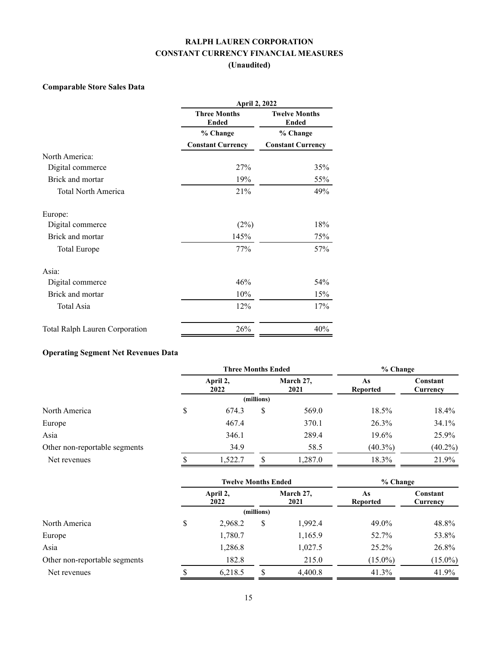## **RALPH LAUREN CORPORATION CONSTANT CURRENCY FINANCIAL MEASURES (Unaudited)**

#### **Comparable Store Sales Data**

|                                | April 2, 2022                       |                                      |  |  |  |
|--------------------------------|-------------------------------------|--------------------------------------|--|--|--|
|                                | <b>Three Months</b><br><b>Ended</b> | <b>Twelve Months</b><br><b>Ended</b> |  |  |  |
|                                | % Change                            | % Change                             |  |  |  |
|                                | <b>Constant Currency</b>            | <b>Constant Currency</b>             |  |  |  |
| North America:                 |                                     |                                      |  |  |  |
| Digital commerce               | 27%                                 | 35%                                  |  |  |  |
| Brick and mortar               | 19%                                 | 55%                                  |  |  |  |
| <b>Total North America</b>     | 21%                                 | 49%                                  |  |  |  |
| Europe:                        |                                     |                                      |  |  |  |
| Digital commerce               | (2%)                                | 18%                                  |  |  |  |
| Brick and mortar               | 145%                                | 75%                                  |  |  |  |
| Total Europe                   | 77%                                 | 57%                                  |  |  |  |
| Asia:                          |                                     |                                      |  |  |  |
| Digital commerce               | 46%                                 | 54%                                  |  |  |  |
| Brick and mortar               | 10%                                 | 15%                                  |  |  |  |
| Total Asia                     | 12%                                 | 17%                                  |  |  |  |
| Total Ralph Lauren Corporation | 26%                                 | 40%                                  |  |  |  |

# **Operating Segment Net Revenues Data**

|                               |                  | <b>Three Months Ended</b> |            | % Change          |                       |                      |
|-------------------------------|------------------|---------------------------|------------|-------------------|-----------------------|----------------------|
|                               | April 2,<br>2022 |                           |            | March 27,<br>2021 | As<br><b>Reported</b> | Constant<br>Currency |
|                               |                  |                           | (millions) |                   |                       |                      |
| North America                 | \$               | 674.3                     | S          | 569.0             | 18.5%                 | 18.4%                |
| Europe                        |                  | 467.4                     |            | 370.1             | 26.3%                 | 34.1%                |
| Asia                          |                  | 346.1                     |            | 289.4             | 19.6%                 | 25.9%                |
| Other non-reportable segments |                  | 34.9                      |            | 58.5              | $(40.3\%)$            | $(40.2\%)$           |
| Net revenues                  |                  | 1,522.7                   |            | 1,287.0           | 18.3%                 | 21.9%                |

|                               |                  | <b>Twelve Months Ended</b> |            | % Change          |                |                      |
|-------------------------------|------------------|----------------------------|------------|-------------------|----------------|----------------------|
|                               | April 2,<br>2022 |                            |            | March 27,<br>2021 | As<br>Reported | Constant<br>Currency |
|                               |                  |                            | (millions) |                   |                |                      |
| North America                 | \$               | 2,968.2                    | \$         | 1,992.4           | 49.0%          | 48.8%                |
| Europe                        |                  | 1,780.7                    |            | 1,165.9           | 52.7%          | 53.8%                |
| Asia                          |                  | 1,286.8                    |            | 1,027.5           | 25.2%          | 26.8%                |
| Other non-reportable segments |                  | 182.8                      |            | 215.0             | $(15.0\%)$     | $(15.0\%)$           |
| Net revenues                  |                  | 6,218.5                    |            | 4,400.8           | 41.3%          | 41.9%                |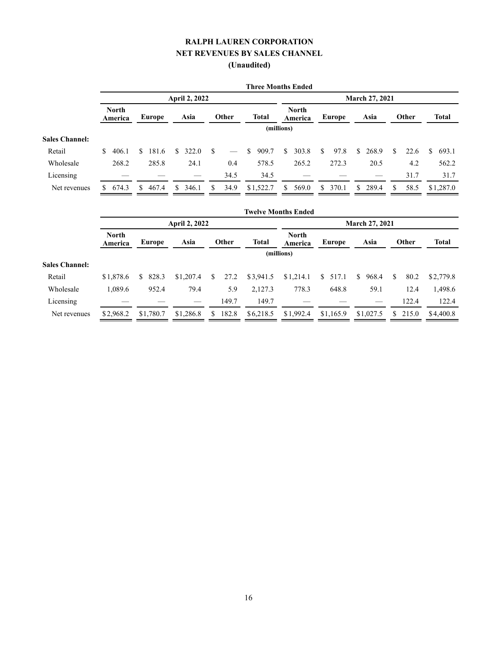#### **RALPH LAUREN CORPORATION NET REVENUES BY SALES CHANNEL (Unaudited)**

|                       |                         |             |                      |           |              | <b>Three Months Ended</b> |             |                       |             |             |  |  |  |  |
|-----------------------|-------------------------|-------------|----------------------|-----------|--------------|---------------------------|-------------|-----------------------|-------------|-------------|--|--|--|--|
|                       |                         |             | <b>April 2, 2022</b> |           |              |                           |             | <b>March 27, 2021</b> |             |             |  |  |  |  |
|                       | <b>North</b><br>America | Europe      | Asia                 | Other     | <b>Total</b> | <b>North</b><br>America   | Europe      | Asia                  | Other       | Total       |  |  |  |  |
|                       |                         |             |                      |           |              | (millions)                |             |                       |             |             |  |  |  |  |
| <b>Sales Channel:</b> |                         |             |                      |           |              |                           |             |                       |             |             |  |  |  |  |
| Retail                | 406.1<br>S.             | 181.6<br>S. | 322.0<br>\$.         | -S        | 909.7<br>\$  | 303.8<br>S.               | S.<br>97.8  | 268.9<br>\$.          | S.<br>22.6  | 693.1<br>S. |  |  |  |  |
| Wholesale             | 268.2                   | 285.8       | 24.1                 | 0.4       | 578.5        | 265.2                     | 272.3       | 20.5                  | 4.2         | 562.2       |  |  |  |  |
| Licensing             |                         |             |                      | 34.5      | 34.5         |                           |             |                       | 31.7        | 31.7        |  |  |  |  |
| Net revenues          | 674.3<br>S.             | 467.4<br>S. | \$<br>346.1          | 34.9<br>S | \$1,522.7    | 569.0<br>S.               | 370.1<br>S. | \$289.4               | 58.5<br>\$. | \$1,287.0   |  |  |  |  |

|                       |                         |            |           |    |       |              | <b>Twelve Months Ended</b> |                       |              |              |              |              |
|-----------------------|-------------------------|------------|-----------|----|-------|--------------|----------------------------|-----------------------|--------------|--------------|--------------|--------------|
|                       | <b>April 2, 2022</b>    |            |           |    |       |              |                            | <b>March 27, 2021</b> |              |              |              |              |
|                       | <b>North</b><br>America | Europe     | Asia      |    | Other | <b>Total</b> | <b>North</b><br>America    | Europe                | Asia         |              | <b>Other</b> | <b>Total</b> |
|                       | (millions)              |            |           |    |       |              |                            |                       |              |              |              |              |
| <b>Sales Channel:</b> |                         |            |           |    |       |              |                            |                       |              |              |              |              |
| Retail                | \$1,878.6               | 828.3<br>S | \$1,207.4 | \$ | 27.2  | \$3,941.5    | \$1,214.1                  | \$517.1               | \$.<br>968.4 | <sup>S</sup> | 80.2         | \$2,779.8    |
| Wholesale             | 1,089.6                 | 952.4      | 79.4      |    | 5.9   | 2,127.3      | 778.3                      | 648.8                 | 59.1         |              | 12.4         | 1,498.6      |
| Licensing             |                         |            |           |    | 149.7 | 149.7        |                            |                       |              |              | 122.4        | 122.4        |
| Net revenues          | \$2,968.2               | \$1,780.7  | \$1,286.8 | \$ | 182.8 | \$6,218.5    | \$1,992.4                  | \$1,165.9             | \$1,027.5    |              | \$215.0      | \$4,400.8    |
|                       |                         |            |           |    |       |              |                            |                       |              |              |              |              |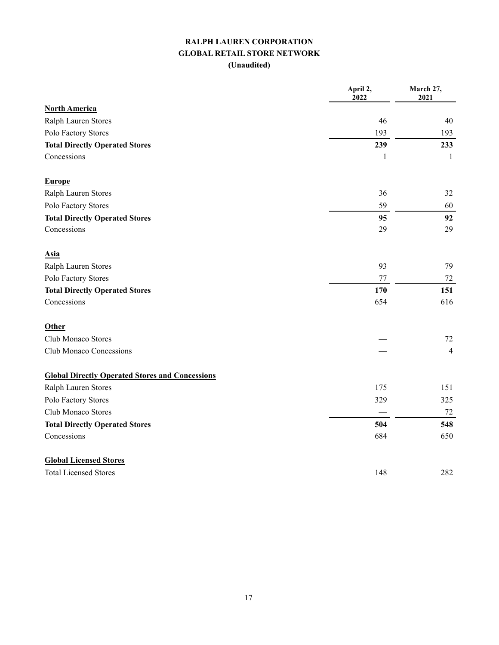#### **RALPH LAUREN CORPORATION GLOBAL RETAIL STORE NETWORK (Unaudited)**

|                                                        | April 2,<br>2022 | March 27,<br>2021 |
|--------------------------------------------------------|------------------|-------------------|
| <b>North America</b>                                   |                  |                   |
| Ralph Lauren Stores                                    | 46               | 40                |
| Polo Factory Stores                                    | 193              | 193               |
| <b>Total Directly Operated Stores</b>                  | 239              | 233               |
| Concessions                                            | 1                | 1                 |
| <b>Europe</b>                                          |                  |                   |
| Ralph Lauren Stores                                    | 36               | 32                |
| Polo Factory Stores                                    | 59               | 60                |
| <b>Total Directly Operated Stores</b>                  | 95               | 92                |
| Concessions                                            | 29               | 29                |
| <b>Asia</b>                                            |                  |                   |
| Ralph Lauren Stores                                    | 93               | 79                |
| Polo Factory Stores                                    | 77               | 72                |
| <b>Total Directly Operated Stores</b>                  | 170              | 151               |
| Concessions                                            | 654              | 616               |
| Other                                                  |                  |                   |
| Club Monaco Stores                                     |                  | 72                |
| Club Monaco Concessions                                |                  | 4                 |
| <b>Global Directly Operated Stores and Concessions</b> |                  |                   |
| Ralph Lauren Stores                                    | 175              | 151               |
| Polo Factory Stores                                    | 329              | 325               |
| Club Monaco Stores                                     |                  | 72                |
| <b>Total Directly Operated Stores</b>                  | 504              | 548               |
| Concessions                                            | 684              | 650               |
| <b>Global Licensed Stores</b>                          |                  |                   |
| <b>Total Licensed Stores</b>                           | 148              | 282               |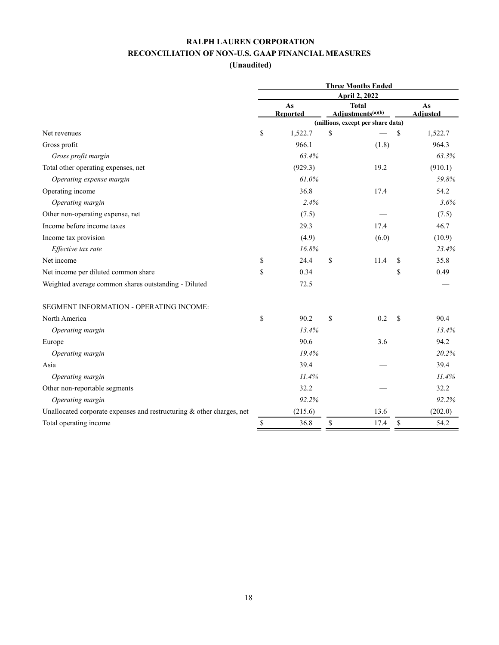|                                                                       | <b>Three Months Ended</b> |                 |                                               |                                   |               |                 |  |  |
|-----------------------------------------------------------------------|---------------------------|-----------------|-----------------------------------------------|-----------------------------------|---------------|-----------------|--|--|
|                                                                       | <b>April 2, 2022</b>      |                 |                                               |                                   |               |                 |  |  |
|                                                                       |                           | As              | <b>Total</b><br>Adjustments <sup>(a)(b)</sup> |                                   |               | As              |  |  |
|                                                                       |                           | <b>Reported</b> |                                               | (millions, except per share data) |               | <b>Adjusted</b> |  |  |
| Net revenues                                                          | \$                        | 1,522.7         | \$                                            |                                   | \$            | 1,522.7         |  |  |
| Gross profit                                                          |                           | 966.1           |                                               | (1.8)                             |               | 964.3           |  |  |
| Gross profit margin                                                   |                           | 63.4%           |                                               |                                   |               | 63.3%           |  |  |
| Total other operating expenses, net                                   |                           | (929.3)         |                                               | 19.2                              |               | (910.1)         |  |  |
| Operating expense margin                                              |                           | 61.0%           |                                               |                                   |               | 59.8%           |  |  |
| Operating income                                                      |                           | 36.8            |                                               | 17.4                              |               | 54.2            |  |  |
| Operating margin                                                      |                           | 2.4%            |                                               |                                   |               | 3.6%            |  |  |
| Other non-operating expense, net                                      |                           | (7.5)           |                                               |                                   |               | (7.5)           |  |  |
| Income before income taxes                                            |                           | 29.3            |                                               | 17.4                              |               | 46.7            |  |  |
| Income tax provision                                                  |                           | (4.9)           |                                               | (6.0)                             |               | (10.9)          |  |  |
| Effective tax rate                                                    |                           | 16.8%           |                                               |                                   |               | 23.4%           |  |  |
| Net income                                                            | \$                        | 24.4            | \$                                            | 11.4                              | \$            | 35.8            |  |  |
| Net income per diluted common share                                   | \$                        | 0.34            |                                               |                                   | \$            | 0.49            |  |  |
| Weighted average common shares outstanding - Diluted                  |                           | 72.5            |                                               |                                   |               |                 |  |  |
| SEGMENT INFORMATION - OPERATING INCOME:                               |                           |                 |                                               |                                   |               |                 |  |  |
| North America                                                         | \$                        | 90.2            | \$                                            | 0.2                               | <sup>\$</sup> | 90.4            |  |  |
| Operating margin                                                      |                           | 13.4%           |                                               |                                   |               | 13.4%           |  |  |
| Europe                                                                |                           | 90.6            |                                               | 3.6                               |               | 94.2            |  |  |
| Operating margin                                                      |                           | 19.4%           |                                               |                                   |               | 20.2%           |  |  |
| Asia                                                                  |                           | 39.4            |                                               |                                   |               | 39.4            |  |  |
| Operating margin                                                      |                           | 11.4%           |                                               |                                   |               | 11.4%           |  |  |
| Other non-reportable segments                                         |                           | 32.2            |                                               |                                   |               | 32.2            |  |  |
| Operating margin                                                      |                           | 92.2%           |                                               |                                   |               | 92.2%           |  |  |
| Unallocated corporate expenses and restructuring & other charges, net |                           | (215.6)         |                                               | 13.6                              |               | (202.0)         |  |  |
| Total operating income                                                | \$                        | 36.8            | \$                                            | 17.4                              | $\mathbb{S}$  | 54.2            |  |  |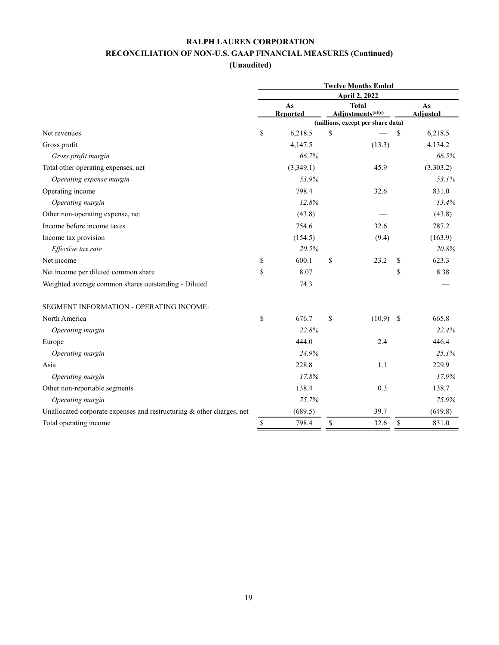| (Unaudited |  |  |
|------------|--|--|
|            |  |  |

|                                                                       | <b>Twelve Months Ended</b><br><b>April 2, 2022</b> |                |    |                                               |              |                       |
|-----------------------------------------------------------------------|----------------------------------------------------|----------------|----|-----------------------------------------------|--------------|-----------------------|
|                                                                       |                                                    |                |    |                                               |              |                       |
|                                                                       |                                                    | As<br>Reported |    | <b>Total</b><br>Adjustments <sup>(a)(c)</sup> |              | As<br><b>Adjusted</b> |
|                                                                       |                                                    |                |    | (millions, except per share data)             |              |                       |
| Net revenues                                                          | \$                                                 | 6,218.5        | \$ |                                               | \$           | 6,218.5               |
| Gross profit                                                          |                                                    | 4,147.5        |    | (13.3)                                        |              | 4,134.2               |
| Gross profit margin                                                   |                                                    | 66.7%          |    |                                               |              | 66.5%                 |
| Total other operating expenses, net                                   |                                                    | (3,349.1)      |    | 45.9                                          |              | (3,303.2)             |
| Operating expense margin                                              |                                                    | 53.9%          |    |                                               |              | 53.1%                 |
| Operating income                                                      |                                                    | 798.4          |    | 32.6                                          |              | 831.0                 |
| Operating margin                                                      |                                                    | 12.8%          |    |                                               |              | 13.4%                 |
| Other non-operating expense, net                                      |                                                    | (43.8)         |    |                                               |              | (43.8)                |
| Income before income taxes                                            |                                                    | 754.6          |    | 32.6                                          |              | 787.2                 |
| Income tax provision                                                  |                                                    | (154.5)        |    | (9.4)                                         |              | (163.9)               |
| Effective tax rate                                                    |                                                    | 20.5%          |    |                                               |              | 20.8%                 |
| Net income                                                            | \$                                                 | 600.1          | \$ | 23.2                                          | \$           | 623.3                 |
| Net income per diluted common share                                   | \$                                                 | 8.07           |    |                                               | \$           | 8.38                  |
| Weighted average common shares outstanding - Diluted                  |                                                    | 74.3           |    |                                               |              |                       |
| SEGMENT INFORMATION - OPERATING INCOME:                               |                                                    |                |    |                                               |              |                       |
| North America                                                         | \$                                                 | 676.7          | \$ | $(10.9)$ \$                                   |              | 665.8                 |
| Operating margin                                                      |                                                    | 22.8%          |    |                                               |              | 22.4%                 |
| Europe                                                                |                                                    | 444.0          |    | 2.4                                           |              | 446.4                 |
| Operating margin                                                      |                                                    | 24.9%          |    |                                               |              | 25.1%                 |
| Asia                                                                  |                                                    | 228.8          |    | 1.1                                           |              | 229.9                 |
| Operating margin                                                      |                                                    | 17.8%          |    |                                               |              | 17.9%                 |
| Other non-reportable segments                                         |                                                    | 138.4          |    | 0.3                                           |              | 138.7                 |
| Operating margin                                                      |                                                    | 75.7%          |    |                                               |              | 75.9%                 |
| Unallocated corporate expenses and restructuring & other charges, net |                                                    | (689.5)        |    | 39.7                                          |              | (649.8)               |
| Total operating income                                                | $\mathbb S$                                        | 798.4          | \$ | 32.6                                          | $\mathbb{S}$ | 831.0                 |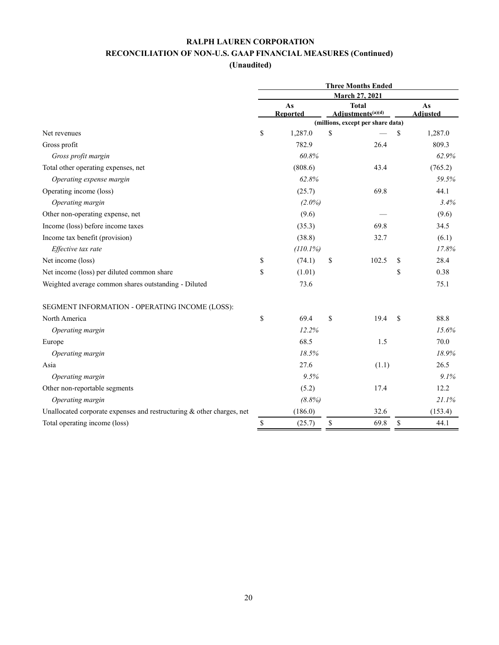| (Unaudited |  |
|------------|--|
|            |  |

|                                                                       | <b>Three Months Ended</b> |                                                                                                          |    |              |    |         |  |
|-----------------------------------------------------------------------|---------------------------|----------------------------------------------------------------------------------------------------------|----|--------------|----|---------|--|
|                                                                       | <b>March 27, 2021</b>     |                                                                                                          |    |              |    |         |  |
|                                                                       | As                        |                                                                                                          |    | <b>Total</b> |    | As      |  |
|                                                                       |                           | Adjustments <sup>(a)(d)</sup><br><b>Reported</b><br><b>Adjusted</b><br>(millions, except per share data) |    |              |    |         |  |
| Net revenues                                                          | \$                        | 1,287.0                                                                                                  | \$ |              | \$ | 1,287.0 |  |
| Gross profit                                                          |                           | 782.9                                                                                                    |    | 26.4         |    | 809.3   |  |
| Gross profit margin                                                   |                           | 60.8%                                                                                                    |    |              |    | 62.9%   |  |
| Total other operating expenses, net                                   |                           | (808.6)                                                                                                  |    | 43.4         |    | (765.2) |  |
| Operating expense margin                                              |                           | 62.8%                                                                                                    |    |              |    | 59.5%   |  |
| Operating income (loss)                                               |                           | (25.7)                                                                                                   |    | 69.8         |    | 44.1    |  |
| Operating margin                                                      |                           | $(2.0\%)$                                                                                                |    |              |    | 3.4%    |  |
| Other non-operating expense, net                                      |                           | (9.6)                                                                                                    |    |              |    | (9.6)   |  |
| Income (loss) before income taxes                                     |                           | (35.3)                                                                                                   |    | 69.8         |    | 34.5    |  |
| Income tax benefit (provision)                                        |                           | (38.8)                                                                                                   |    | 32.7         |    | (6.1)   |  |
| Effective tax rate                                                    |                           | (110.1%)                                                                                                 |    |              |    | 17.8%   |  |
| Net income (loss)                                                     | \$                        | (74.1)                                                                                                   | \$ | 102.5        | \$ | 28.4    |  |
| Net income (loss) per diluted common share                            | \$                        | (1.01)                                                                                                   |    |              | \$ | 0.38    |  |
| Weighted average common shares outstanding - Diluted                  |                           | 73.6                                                                                                     |    |              |    | 75.1    |  |
| SEGMENT INFORMATION - OPERATING INCOME (LOSS):                        |                           |                                                                                                          |    |              |    |         |  |
| North America                                                         | \$                        | 69.4                                                                                                     | \$ | 19.4         | \$ | 88.8    |  |
| Operating margin                                                      |                           | 12.2%                                                                                                    |    |              |    | 15.6%   |  |
| Europe                                                                |                           | 68.5                                                                                                     |    | 1.5          |    | 70.0    |  |
| Operating margin                                                      |                           | 18.5%                                                                                                    |    |              |    | 18.9%   |  |
| Asia                                                                  |                           | 27.6                                                                                                     |    | (1.1)        |    | 26.5    |  |
| Operating margin                                                      |                           | 9.5%                                                                                                     |    |              |    | 9.1%    |  |
| Other non-reportable segments                                         |                           | (5.2)                                                                                                    |    | 17.4         |    | 12.2    |  |
| Operating margin                                                      |                           | (8.8%)                                                                                                   |    |              |    | 21.1%   |  |
| Unallocated corporate expenses and restructuring & other charges, net |                           | (186.0)                                                                                                  |    | 32.6         |    | (153.4) |  |
| Total operating income (loss)                                         | $\mathbb{S}$              | (25.7)                                                                                                   | \$ | 69.8         | \$ | 44.1    |  |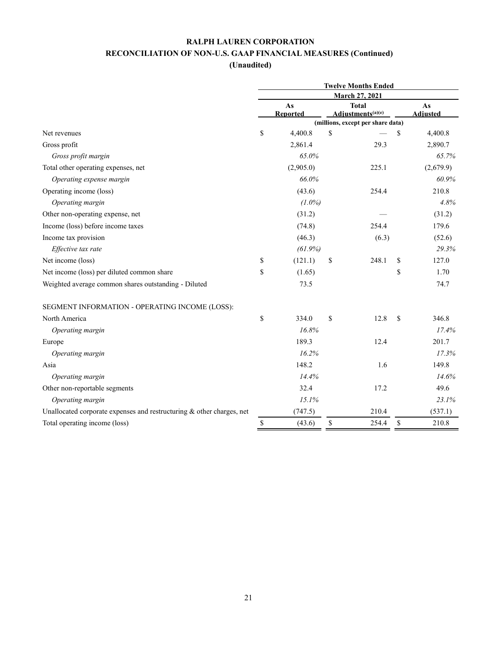| (Unaudited |  |
|------------|--|
|            |  |

|                                                                       | <b>Twelve Months Ended</b> |                |      |                                               |               |                       |  |
|-----------------------------------------------------------------------|----------------------------|----------------|------|-----------------------------------------------|---------------|-----------------------|--|
|                                                                       | <b>March 27, 2021</b>      |                |      |                                               |               |                       |  |
|                                                                       |                            | As<br>Reported |      | <b>Total</b><br>Adjustments <sup>(a)(e)</sup> |               | As<br><b>Adjusted</b> |  |
|                                                                       |                            |                |      | (millions, except per share data)             |               |                       |  |
| Net revenues                                                          | \$                         | 4,400.8        | \$   |                                               | \$            | 4,400.8               |  |
| Gross profit                                                          |                            | 2,861.4        |      | 29.3                                          |               | 2,890.7               |  |
| Gross profit margin                                                   |                            | 65.0%          |      |                                               |               | 65.7%                 |  |
| Total other operating expenses, net                                   |                            | (2,905.0)      |      | 225.1                                         |               | (2,679.9)             |  |
| Operating expense margin                                              |                            | 66.0%          |      |                                               |               | 60.9%                 |  |
| Operating income (loss)                                               |                            | (43.6)         |      | 254.4                                         |               | 210.8                 |  |
| Operating margin                                                      |                            | $(1.0\%)$      |      |                                               |               | 4.8%                  |  |
| Other non-operating expense, net                                      |                            | (31.2)         |      |                                               |               | (31.2)                |  |
| Income (loss) before income taxes                                     |                            | (74.8)         |      | 254.4                                         |               | 179.6                 |  |
| Income tax provision                                                  |                            | (46.3)         |      | (6.3)                                         |               | (52.6)                |  |
| Effective tax rate                                                    |                            | $(61.9\%)$     |      |                                               |               | 29.3%                 |  |
| Net income (loss)                                                     | \$                         | (121.1)        | \$   | 248.1                                         | \$            | 127.0                 |  |
| Net income (loss) per diluted common share                            | \$                         | (1.65)         |      |                                               | \$            | 1.70                  |  |
| Weighted average common shares outstanding - Diluted                  |                            | 73.5           |      |                                               |               | 74.7                  |  |
| SEGMENT INFORMATION - OPERATING INCOME (LOSS):                        |                            |                |      |                                               |               |                       |  |
| North America                                                         | \$                         | 334.0          | \$   | 12.8                                          | <sup>\$</sup> | 346.8                 |  |
| Operating margin                                                      |                            | 16.8%          |      |                                               |               | 17.4%                 |  |
| Europe                                                                |                            | 189.3          |      | 12.4                                          |               | 201.7                 |  |
| Operating margin                                                      |                            | 16.2%          |      |                                               |               | 17.3%                 |  |
| Asia                                                                  |                            | 148.2          |      | 1.6                                           |               | 149.8                 |  |
| Operating margin                                                      |                            | 14.4%          |      |                                               |               | 14.6%                 |  |
| Other non-reportable segments                                         |                            | 32.4           |      | 17.2                                          |               | 49.6                  |  |
| Operating margin                                                      |                            | 15.1%          |      |                                               |               | 23.1%                 |  |
| Unallocated corporate expenses and restructuring & other charges, net |                            | (747.5)        |      | 210.4                                         |               | (537.1)               |  |
| Total operating income (loss)                                         | \$                         | (43.6)         | $\$$ | 254.4                                         | \$            | 210.8                 |  |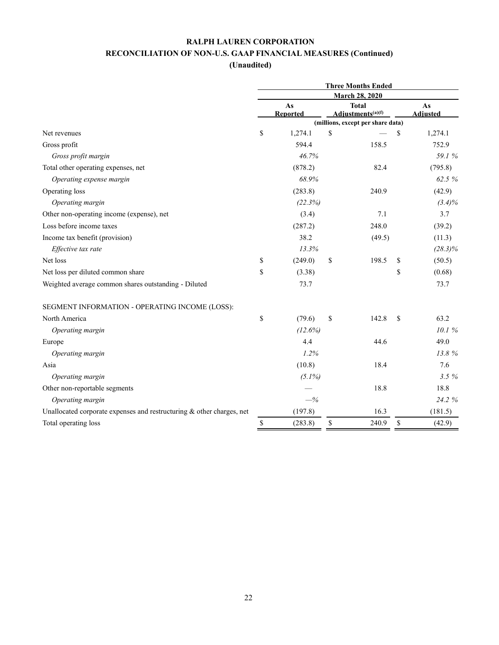| (Unaudited |  |
|------------|--|
|            |  |

|                                                                       | <b>Three Months Ended</b> |                 |                                               |                                   |    |                 |  |
|-----------------------------------------------------------------------|---------------------------|-----------------|-----------------------------------------------|-----------------------------------|----|-----------------|--|
|                                                                       | <b>March 28, 2020</b>     |                 |                                               |                                   |    |                 |  |
|                                                                       | As                        |                 | <b>Total</b><br>Adjustments <sup>(a)(f)</sup> |                                   |    | As              |  |
|                                                                       |                           | <b>Reported</b> |                                               | (millions, except per share data) |    | <b>Adjusted</b> |  |
| Net revenues                                                          | \$                        | 1,274.1         | \$                                            |                                   | \$ | 1,274.1         |  |
| Gross profit                                                          |                           | 594.4           |                                               | 158.5                             |    | 752.9           |  |
| Gross profit margin                                                   |                           | 46.7%           |                                               |                                   |    | 59.1 %          |  |
| Total other operating expenses, net                                   |                           | (878.2)         |                                               | 82.4                              |    | (795.8)         |  |
| Operating expense margin                                              |                           | 68.9%           |                                               |                                   |    | 62.5 %          |  |
| Operating loss                                                        |                           | (283.8)         |                                               | 240.9                             |    | (42.9)          |  |
| Operating margin                                                      |                           | (22.3%)         |                                               |                                   |    | $(3.4)\%$       |  |
| Other non-operating income (expense), net                             |                           | (3.4)           |                                               | 7.1                               |    | 3.7             |  |
| Loss before income taxes                                              |                           | (287.2)         |                                               | 248.0                             |    | (39.2)          |  |
| Income tax benefit (provision)                                        |                           | 38.2            |                                               | (49.5)                            |    | (11.3)          |  |
| Effective tax rate                                                    |                           | 13.3%           |                                               |                                   |    | $(28.3)\%$      |  |
| Net loss                                                              | \$                        | (249.0)         | \$                                            | 198.5                             | \$ | (50.5)          |  |
| Net loss per diluted common share                                     | \$                        | (3.38)          |                                               |                                   | \$ | (0.68)          |  |
| Weighted average common shares outstanding - Diluted                  |                           | 73.7            |                                               |                                   |    | 73.7            |  |
| SEGMENT INFORMATION - OPERATING INCOME (LOSS):                        |                           |                 |                                               |                                   |    |                 |  |
| North America                                                         | \$                        | (79.6)          | \$                                            | 142.8                             | S  | 63.2            |  |
| Operating margin                                                      |                           | (12.6%)         |                                               |                                   |    | 10.1%           |  |
| Europe                                                                |                           | 4.4             |                                               | 44.6                              |    | 49.0            |  |
| Operating margin                                                      |                           | 1.2%            |                                               |                                   |    | 13.8%           |  |
| Asia                                                                  |                           | (10.8)          |                                               | 18.4                              |    | 7.6             |  |
| Operating margin                                                      |                           | $(5.1\%)$       |                                               |                                   |    | 3.5%            |  |
| Other non-reportable segments                                         |                           |                 |                                               | 18.8                              |    | 18.8            |  |
| Operating margin                                                      |                           | $-$ %           |                                               |                                   |    | 24.2 %          |  |
| Unallocated corporate expenses and restructuring & other charges, net |                           | (197.8)         |                                               | 16.3                              |    | (181.5)         |  |
| Total operating loss                                                  | \$                        | (283.8)         | \$                                            | 240.9                             | \$ | (42.9)          |  |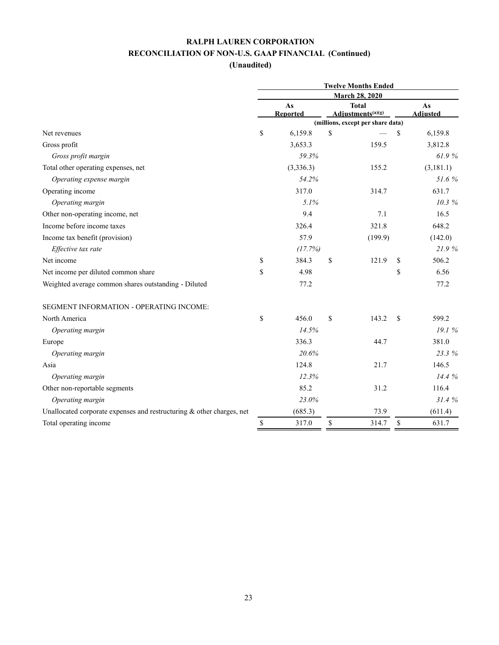|                                                                       | <b>Twelve Months Ended</b> |                 |    |                                               |    |                 |  |
|-----------------------------------------------------------------------|----------------------------|-----------------|----|-----------------------------------------------|----|-----------------|--|
|                                                                       | <b>March 28, 2020</b>      |                 |    |                                               |    |                 |  |
|                                                                       |                            | As              |    | <b>Total</b><br>Adjustments <sup>(a)(g)</sup> |    | As              |  |
|                                                                       |                            | <b>Reported</b> |    | (millions, except per share data)             |    | <b>Adjusted</b> |  |
| Net revenues                                                          | \$                         | 6,159.8         | \$ |                                               | \$ | 6,159.8         |  |
| Gross profit                                                          |                            | 3,653.3         |    | 159.5                                         |    | 3,812.8         |  |
| Gross profit margin                                                   |                            | 59.3%           |    |                                               |    | 61.9%           |  |
| Total other operating expenses, net                                   |                            | (3,336.3)       |    | 155.2                                         |    | (3,181.1)       |  |
| Operating expense margin                                              |                            | 54.2%           |    |                                               |    | 51.6%           |  |
| Operating income                                                      |                            | 317.0           |    | 314.7                                         |    | 631.7           |  |
| Operating margin                                                      |                            | 5.1%            |    |                                               |    | 10.3%           |  |
| Other non-operating income, net                                       |                            | 9.4             |    | 7.1                                           |    | 16.5            |  |
| Income before income taxes                                            |                            | 326.4           |    | 321.8                                         |    | 648.2           |  |
| Income tax benefit (provision)                                        |                            | 57.9            |    | (199.9)                                       |    | (142.0)         |  |
| Effective tax rate                                                    |                            | (17.7%)         |    |                                               |    | 21.9%           |  |
| Net income                                                            | \$                         | 384.3           | \$ | 121.9                                         | \$ | 506.2           |  |
| Net income per diluted common share                                   | \$                         | 4.98            |    |                                               | \$ | 6.56            |  |
| Weighted average common shares outstanding - Diluted                  |                            | 77.2            |    |                                               |    | 77.2            |  |
| SEGMENT INFORMATION - OPERATING INCOME:                               |                            |                 |    |                                               |    |                 |  |
| North America                                                         | \$                         | 456.0           | \$ | 143.2                                         | \$ | 599.2           |  |
| Operating margin                                                      |                            | 14.5%           |    |                                               |    | 19.1 %          |  |
| Europe                                                                |                            | 336.3           |    | 44.7                                          |    | 381.0           |  |
| Operating margin                                                      |                            | 20.6%           |    |                                               |    | 23.3 %          |  |
| Asia                                                                  |                            | 124.8           |    | 21.7                                          |    | 146.5           |  |
| Operating margin                                                      |                            | 12.3%           |    |                                               |    | 14.4 %          |  |
| Other non-reportable segments                                         |                            | 85.2            |    | 31.2                                          |    | 116.4           |  |
| Operating margin                                                      |                            | 23.0%           |    |                                               |    | 31.4%           |  |
| Unallocated corporate expenses and restructuring & other charges, net |                            | (685.3)         |    | 73.9                                          |    | (611.4)         |  |
| Total operating income                                                | \$                         | 317.0           | \$ | 314.7                                         | \$ | 631.7           |  |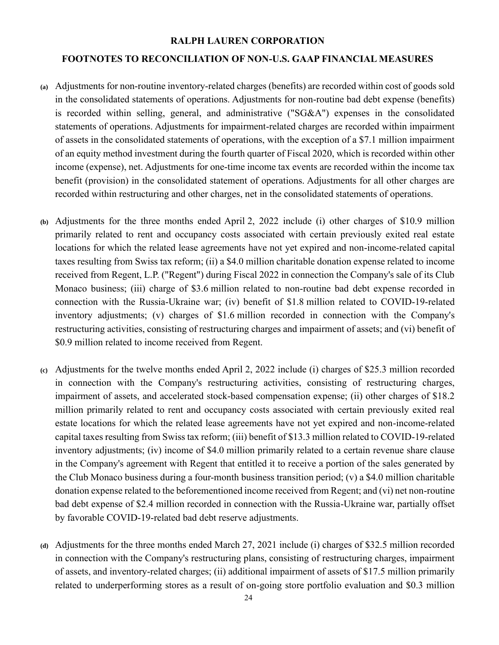#### **RALPH LAUREN CORPORATION**

#### **FOOTNOTES TO RECONCILIATION OF NON-U.S. GAAP FINANCIAL MEASURES**

- **(a)** Adjustments for non-routine inventory-related charges (benefits) are recorded within cost of goods sold in the consolidated statements of operations. Adjustments for non-routine bad debt expense (benefits) is recorded within selling, general, and administrative ("SG&A") expenses in the consolidated statements of operations. Adjustments for impairment-related charges are recorded within impairment of assets in the consolidated statements of operations, with the exception of a \$7.1 million impairment of an equity method investment during the fourth quarter of Fiscal 2020, which is recorded within other income (expense), net. Adjustments for one-time income tax events are recorded within the income tax benefit (provision) in the consolidated statement of operations. Adjustments for all other charges are recorded within restructuring and other charges, net in the consolidated statements of operations.
- **(b)** Adjustments for the three months ended April 2, 2022 include (i) other charges of \$10.9 million primarily related to rent and occupancy costs associated with certain previously exited real estate locations for which the related lease agreements have not yet expired and non-income-related capital taxes resulting from Swiss tax reform; (ii) a \$4.0 million charitable donation expense related to income received from Regent, L.P. ("Regent") during Fiscal 2022 in connection the Company's sale of its Club Monaco business; (iii) charge of \$3.6 million related to non-routine bad debt expense recorded in connection with the Russia-Ukraine war; (iv) benefit of \$1.8 million related to COVID-19-related inventory adjustments; (v) charges of \$1.6 million recorded in connection with the Company's restructuring activities, consisting of restructuring charges and impairment of assets; and (vi) benefit of \$0.9 million related to income received from Regent.
- **(c)** Adjustments for the twelve months ended April 2, 2022 include (i) charges of \$25.3 million recorded in connection with the Company's restructuring activities, consisting of restructuring charges, impairment of assets, and accelerated stock-based compensation expense; (ii) other charges of \$18.2 million primarily related to rent and occupancy costs associated with certain previously exited real estate locations for which the related lease agreements have not yet expired and non-income-related capital taxes resulting from Swiss tax reform; (iii) benefit of \$13.3 million related to COVID-19-related inventory adjustments; (iv) income of \$4.0 million primarily related to a certain revenue share clause in the Company's agreement with Regent that entitled it to receive a portion of the sales generated by the Club Monaco business during a four-month business transition period; (v) a \$4.0 million charitable donation expense related to the beforementioned income received from Regent; and (vi) net non-routine bad debt expense of \$2.4 million recorded in connection with the Russia-Ukraine war, partially offset by favorable COVID-19-related bad debt reserve adjustments.
- **(d)** Adjustments for the three months ended March 27, 2021 include (i) charges of \$32.5 million recorded in connection with the Company's restructuring plans, consisting of restructuring charges, impairment of assets, and inventory-related charges; (ii) additional impairment of assets of \$17.5 million primarily related to underperforming stores as a result of on-going store portfolio evaluation and \$0.3 million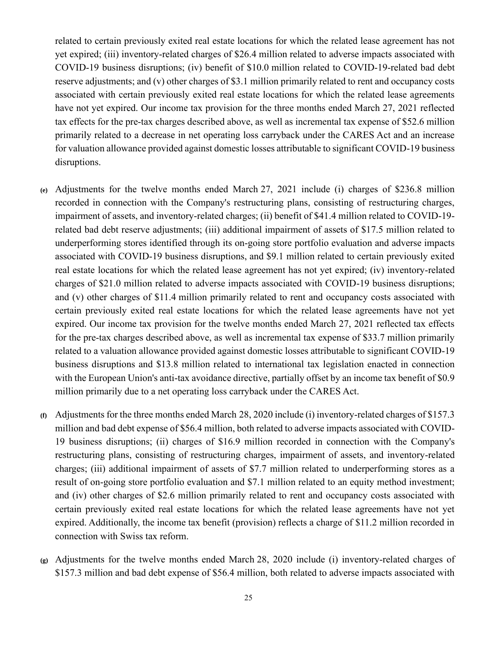related to certain previously exited real estate locations for which the related lease agreement has not yet expired; (iii) inventory-related charges of \$26.4 million related to adverse impacts associated with COVID-19 business disruptions; (iv) benefit of \$10.0 million related to COVID-19-related bad debt reserve adjustments; and (v) other charges of \$3.1 million primarily related to rent and occupancy costs associated with certain previously exited real estate locations for which the related lease agreements have not yet expired. Our income tax provision for the three months ended March 27, 2021 reflected tax effects for the pre-tax charges described above, as well as incremental tax expense of \$52.6 million primarily related to a decrease in net operating loss carryback under the CARES Act and an increase for valuation allowance provided against domestic losses attributable to significant COVID-19 business disruptions.

- **(e)** Adjustments for the twelve months ended March 27, 2021 include (i) charges of \$236.8 million recorded in connection with the Company's restructuring plans, consisting of restructuring charges, impairment of assets, and inventory-related charges; (ii) benefit of \$41.4 million related to COVID-19 related bad debt reserve adjustments; (iii) additional impairment of assets of \$17.5 million related to underperforming stores identified through its on-going store portfolio evaluation and adverse impacts associated with COVID-19 business disruptions, and \$9.1 million related to certain previously exited real estate locations for which the related lease agreement has not yet expired; (iv) inventory-related charges of \$21.0 million related to adverse impacts associated with COVID-19 business disruptions; and (v) other charges of \$11.4 million primarily related to rent and occupancy costs associated with certain previously exited real estate locations for which the related lease agreements have not yet expired. Our income tax provision for the twelve months ended March 27, 2021 reflected tax effects for the pre-tax charges described above, as well as incremental tax expense of \$33.7 million primarily related to a valuation allowance provided against domestic losses attributable to significant COVID-19 business disruptions and \$13.8 million related to international tax legislation enacted in connection with the European Union's anti-tax avoidance directive, partially offset by an income tax benefit of \$0.9 million primarily due to a net operating loss carryback under the CARES Act.
- **(f)** Adjustments for the three months ended March 28, 2020 include (i) inventory-related charges of \$157.3 million and bad debt expense of \$56.4 million, both related to adverse impacts associated with COVID-19 business disruptions; (ii) charges of \$16.9 million recorded in connection with the Company's restructuring plans, consisting of restructuring charges, impairment of assets, and inventory-related charges; (iii) additional impairment of assets of \$7.7 million related to underperforming stores as a result of on-going store portfolio evaluation and \$7.1 million related to an equity method investment; and (iv) other charges of \$2.6 million primarily related to rent and occupancy costs associated with certain previously exited real estate locations for which the related lease agreements have not yet expired. Additionally, the income tax benefit (provision) reflects a charge of \$11.2 million recorded in connection with Swiss tax reform.
- **(g)** Adjustments for the twelve months ended March 28, 2020 include (i) inventory-related charges of \$157.3 million and bad debt expense of \$56.4 million, both related to adverse impacts associated with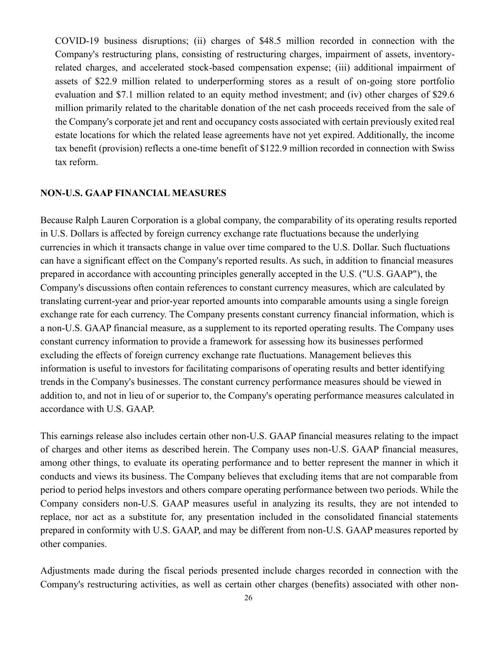COVID-19 business disruptions; (ii) charges of \$48.5 million recorded in connection with the Company's restructuring plans, consisting of restructuring charges, impairment of assets, inventoryrelated charges, and accelerated stock-based compensation expense; (iii) additional impairment of assets of \$22.9 million related to underperforming stores as a result of on-going store portfolio evaluation and \$7.1 million related to an equity method investment; and (iv) other charges of \$29.6 million primarily related to the charitable donation of the net cash proceeds received from the sale of the Company's corporate jet and rent and occupancy costs associated with certain previously exited real estate locations for which the related lease agreements have not yet expired. Additionally, the income tax benefit (provision) reflects a one-time benefit of \$122.9 million recorded in connection with Swiss tax reform.

#### **NON-U.S. GAAP FINANCIAL MEASURES**

Because Ralph Lauren Corporation is a global company, the comparability of its operating results reported in U.S. Dollars is affected by foreign currency exchange rate fluctuations because the underlying currencies in which it transacts change in value over time compared to the U.S. Dollar. Such fluctuations can have a significant effect on the Company's reported results. As such, in addition to financial measures prepared in accordance with accounting principles generally accepted in the U.S. ("U.S. GAAP"), the Company's discussions often contain references to constant currency measures, which are calculated by translating current-year and prior-year reported amounts into comparable amounts using a single foreign exchange rate for each currency. The Company presents constant currency financial information, which is a non-U.S. GAAP financial measure, as a supplement to its reported operating results. The Company uses constant currency information to provide a framework for assessing how its businesses performed excluding the effects of foreign currency exchange rate fluctuations. Management believes this information is useful to investors for facilitating comparisons of operating results and better identifying trends in the Company's businesses. The constant currency performance measures should be viewed in addition to, and not in lieu of or superior to, the Company's operating performance measures calculated in accordance with U.S. GAAP.

This earnings release also includes certain other non-U.S. GAAP financial measures relating to the impact of charges and other items as described herein. The Company uses non-U.S. GAAP financial measures, among other things, to evaluate its operating performance and to better represent the manner in which it conducts and views its business. The Company believes that excluding items that are not comparable from period to period helps investors and others compare operating performance between two periods. While the Company considers non-U.S. GAAP measures useful in analyzing its results, they are not intended to replace, nor act as a substitute for, any presentation included in the consolidated financial statements prepared in conformity with U.S. GAAP, and may be different from non-U.S. GAAP measures reported by other companies.

Adjustments made during the fiscal periods presented include charges recorded in connection with the Company's restructuring activities, as well as certain other charges (benefits) associated with other non